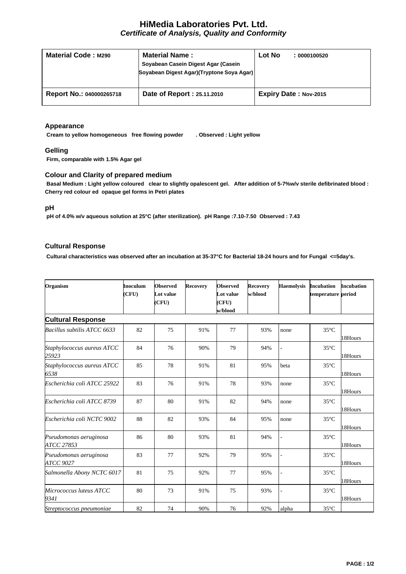# **HiMedia Laboratories Pvt. Ltd.** *Certificate of Analysis, Quality and Conformity*

| <b>Material Code: M290</b> | <b>Material Name:</b><br>Soyabean Casein Digest Agar (Casein<br>Soyabean Digest Agar)(Tryptone Soya Agar) | Lot No | : 0000100520                 |
|----------------------------|-----------------------------------------------------------------------------------------------------------|--------|------------------------------|
| Report No.: 040000265718   | Date of Report: 25.11.2010                                                                                |        | <b>Expiry Date: Nov-2015</b> |

### **Appearance**

**Cream to yellow homogeneous free flowing powder . Observed : Light yellow**

## **Gelling**

**Firm, comparable with 1.5% Agar gel**

# **Colour and Clarity of prepared medium**

**Basal Medium : Light yellow coloured clear to slightly opalescent gel. After addition of 5-7%w/v sterile defibrinated blood : Cherry red colour ed opaque gel forms in Petri plates**

#### **pH**

**pH of 4.0% w/v aqueous solution at 25°C (after sterilization). pH Range :7.10-7.50 Observed : 7.43**

## **Cultural Response**

**Cultural characteristics was observed after an incubation at 35-37°C for Bacterial 18-24 hours and for Fungal <=5day's.**

| Organism                             | <b>Inoculum</b><br>(CFU) | <b>Observed</b><br>Lot value<br>(CFU) | <b>Recovery</b> | <b>Observed</b><br><b>Lot value</b><br>(CFU)<br>w/blood | <b>Recovery</b><br>w/blood | <b>Haemolysis</b> | <b>Incubation</b><br>temperature period | <b>Incubation</b> |
|--------------------------------------|--------------------------|---------------------------------------|-----------------|---------------------------------------------------------|----------------------------|-------------------|-----------------------------------------|-------------------|
| <b>Cultural Response</b>             |                          |                                       |                 |                                                         |                            |                   |                                         |                   |
| Bacillus subtilis ATCC 6633          | 82                       | 75                                    | 91%             | 77                                                      | 93%                        | none              | $35^{\circ}$ C                          | 18Hours           |
| Staphylococcus aureus ATCC<br>25923  | 84                       | 76                                    | 90%             | 79                                                      | 94%                        |                   | $35^{\circ}$ C                          | 18Hours           |
| Staphylococcus aureus ATCC<br>6538   | 85                       | 78                                    | 91%             | 81                                                      | 95%                        | beta              | $35^{\circ}$ C                          | 18Hours           |
| Escherichia coli ATCC 25922          | 83                       | 76                                    | 91%             | 78                                                      | 93%                        | none              | $35^{\circ}$ C                          | 18Hours           |
| Escherichia coli ATCC 8739           | 87                       | 80                                    | 91%             | 82                                                      | 94%                        | none              | $35^{\circ}$ C                          | 18Hours           |
| Escherichia coli NCTC 9002           | 88                       | 82                                    | 93%             | 84                                                      | 95%                        | none              | $35^{\circ}$ C                          | 18Hours           |
| Pseudomonas aeruginosa<br>ATCC 27853 | 86                       | 80                                    | 93%             | 81                                                      | 94%                        |                   | $35^{\circ}$ C                          | 18Hours           |
| Pseudomonas aeruginosa<br>ATCC 9027  | 83                       | 77                                    | 92%             | 79                                                      | 95%                        |                   | $35^{\circ}$ C                          | 18Hours           |
| Salmonella Abony NCTC 6017           | 81                       | 75                                    | 92%             | 77                                                      | 95%                        |                   | $35^{\circ}$ C                          | 18Hours           |
| Micrococcus luteus ATCC<br>9341      | 80                       | 73                                    | 91%             | 75                                                      | 93%                        |                   | $35^{\circ}$ C                          | 18Hours           |
| Streptococcus pneumoniae             | 82                       | 74                                    | 90%             | 76                                                      | 92%                        | alpha             | $35^{\circ}$ C                          |                   |